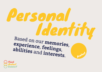# Personal Based on our memories,

Protect

**experience** , **feelings** , **abilities** and **interests**.

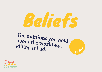## Beliefs

Protect

The **opinions** you hold about the **world** killing is bad. e.g.

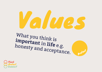

Protect

What you think is **important** honesty and acceptance. in **life** e.g.

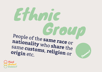#### Ethnic People of Group People of the **same nationality race** or who **share** same **customs** the , **religion** onneet **origin** etc. Tellgion or

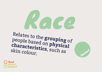### Race Relates to the **grouping** of people based on

**characteristics physical**  , such as skin colour.



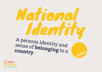### National Identity

Protect

A persons identity and sense of **belonging** to a<br>country **country** .

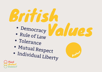## British

- Democracy · Democracy Values
- Rule of Law
- Tolerance
- Mutual Respect
- Individual Liberty



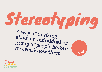# Stereotyping

A way of thinking about an **individual** or **group** of people we even **before know them**.



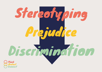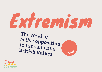## Extremism

Think

The vocal or active **opposition** to fundamental **British Values**.

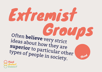#### Extremist GroupsOften **believe** very strict ideas about how they are **superior** to particular other types of people in society. Think

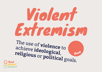### Violent Extremism

The use of **violence** to<br>achieve identicator achieve **ideological** , **religious** or **political** goals.

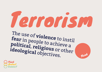# Terrorism

The use of **violence** fear in people to instil fear in people to achieve a **political**, **religious ideological** or other ideological objectives.



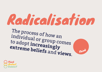### Radicalisation

Think

The process of how an individual or group comes to adopt **increasingly extreme beliefs** and **views**.

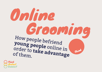#### Online GroomingHow people befriend **young people** online in order to **take advantage** of them. Think

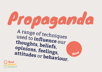PropagandaA range of techniques used to **influence thoughts** our , **beliefs opinions** , , **feelings** Think **attitudes** , or **behaviour**.

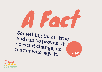A FactSomething that is **true**  and can be **proven** does not change to the It not change, no matter who says it. Think

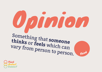

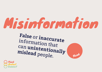### Misinformation

**False** or **inaccurate** information that can **unintentionally mislead** people.